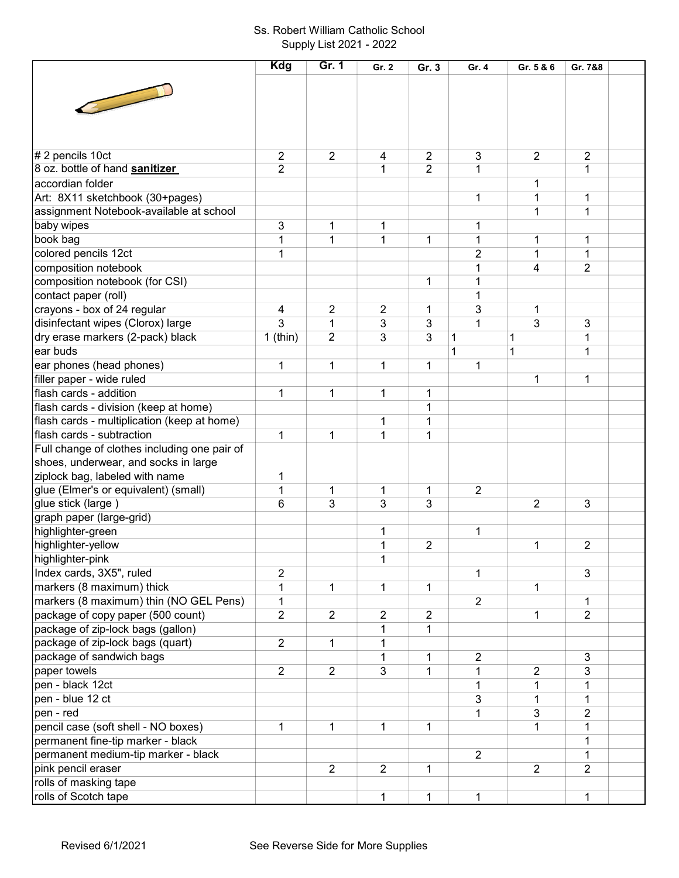## Ss. Robert William Catholic School Supply List 2021 - 2022

|                                              | <b>Kdg</b>     | Gr. 1          | Gr. 2          | Gr. 3          | Gr. 4          | Gr. 5 & 6           | Gr. 7&8             |  |
|----------------------------------------------|----------------|----------------|----------------|----------------|----------------|---------------------|---------------------|--|
|                                              |                |                |                |                |                |                     |                     |  |
|                                              |                |                |                |                |                |                     |                     |  |
|                                              |                |                |                |                |                |                     |                     |  |
|                                              |                |                |                |                |                |                     |                     |  |
|                                              |                |                |                |                |                |                     |                     |  |
| # 2 pencils 10ct                             | $\overline{2}$ | $\overline{2}$ | 4              | $\overline{2}$ | 3              | $\overline{2}$      | $\overline{c}$      |  |
| 8 oz. bottle of hand sanitizer               | $\overline{2}$ |                | 1              | $\overline{2}$ | 1              |                     | 1                   |  |
| accordian folder                             |                |                |                |                |                | 1                   |                     |  |
| Art: 8X11 sketchbook (30+pages)              |                |                |                |                | 1              | 1                   | 1                   |  |
| assignment Notebook-available at school      |                |                |                |                |                | 1                   | $\mathbf{1}$        |  |
| baby wipes                                   | 3              |                |                |                | 1              |                     |                     |  |
| book bag                                     | 1              | 1<br>1         | 1<br>1         | $\mathbf{1}$   | 1              | 1                   | 1                   |  |
|                                              |                |                |                |                |                |                     |                     |  |
| colored pencils 12ct                         | 1              |                |                |                | $\overline{2}$ | 1<br>$\overline{4}$ | 1<br>$\overline{2}$ |  |
| composition notebook                         |                |                |                |                | 1              |                     |                     |  |
| composition notebook (for CSI)               |                |                |                | 1              | 1              |                     |                     |  |
| contact paper (roll)                         |                |                |                |                | 1              |                     |                     |  |
| crayons - box of 24 regular                  | 4              | 2              | 2              | 1              | 3              | 1<br>3              |                     |  |
| disinfectant wipes (Clorox) large            | 3              | 1              | 3              | 3              | $\mathbf{1}$   |                     | 3                   |  |
| dry erase markers (2-pack) black             | $1$ (thin)     | 2              | 3              | 3              | 1              | 1                   | 1                   |  |
| ear buds                                     |                |                |                |                | 1              | $\mathbf 1$         | 1                   |  |
| ear phones (head phones)                     | 1              | 1              | 1              | 1              | $\mathbf 1$    |                     |                     |  |
| filler paper - wide ruled                    |                |                |                |                |                | 1                   | 1                   |  |
| flash cards - addition                       | 1              | 1              | 1              | 1              |                |                     |                     |  |
| flash cards - division (keep at home)        |                |                |                | 1              |                |                     |                     |  |
| flash cards - multiplication (keep at home)  |                |                | 1              | 1              |                |                     |                     |  |
| flash cards - subtraction                    | 1              | 1              | 1              | $\mathbf{1}$   |                |                     |                     |  |
| Full change of clothes including one pair of |                |                |                |                |                |                     |                     |  |
| shoes, underwear, and socks in large         |                |                |                |                |                |                     |                     |  |
| ziplock bag, labeled with name               | 1              |                |                |                |                |                     |                     |  |
| glue (Elmer's or equivalent) (small)         | 1              | 1              | 1              | $\mathbf 1$    | $\overline{2}$ |                     |                     |  |
| glue stick (large)                           | 6              | 3              | 3              | 3              |                | $\overline{2}$      | 3                   |  |
| graph paper (large-grid)                     |                |                |                |                |                |                     |                     |  |
| highlighter-green                            |                |                | 1              |                | $\mathbf{1}$   |                     |                     |  |
| highlighter-yellow                           |                |                | 1              | $\overline{2}$ |                | 1                   | $\overline{2}$      |  |
| highlighter-pink                             |                |                | 1              |                |                |                     |                     |  |
| Index cards, 3X5", ruled                     | $\overline{2}$ |                |                |                | $\mathbf{1}$   |                     | 3                   |  |
| markers (8 maximum) thick                    | $\mathbf 1$    | 1              | 1              | $\mathbf 1$    |                | 1                   |                     |  |
| markers (8 maximum) thin (NO GEL Pens)       | $\mathbf{1}$   |                |                |                | $\overline{2}$ |                     | 1                   |  |
| package of copy paper (500 count)            | $\overline{2}$ | $\overline{2}$ | $\overline{2}$ | $\overline{2}$ |                | 1                   | $\overline{2}$      |  |
| package of zip-lock bags (gallon)            |                |                | 1              | 1              |                |                     |                     |  |
| package of zip-lock bags (quart)             | $\overline{2}$ | 1              | 1              |                |                |                     |                     |  |
| package of sandwich bags                     |                |                | 1              | 1              | $\overline{2}$ |                     | 3                   |  |
| paper towels                                 | $\overline{2}$ | $\overline{2}$ | 3              | $\mathbf 1$    | 1              | $\boldsymbol{2}$    | 3                   |  |
| pen - black 12ct                             |                |                |                |                | 1              | 1                   | 1                   |  |
| pen - blue 12 ct                             |                |                |                |                | 3              | 1                   | 1                   |  |
| pen - red                                    |                |                |                |                | $\mathbf{1}$   | $\mathbf{3}$        | 2                   |  |
| pencil case (soft shell - NO boxes)          | 1              | 1              | 1              | 1              |                | 1                   | 1                   |  |
| permanent fine-tip marker - black            |                |                |                |                |                |                     | 1                   |  |
| permanent medium-tip marker - black          |                |                |                |                | $\overline{2}$ |                     | 1                   |  |
| pink pencil eraser                           |                | $\overline{2}$ | $\overline{2}$ | 1              |                | $\overline{2}$      | $\overline{2}$      |  |
| rolls of masking tape                        |                |                |                |                |                |                     |                     |  |
| rolls of Scotch tape                         |                |                | 1              | $\mathbf{1}$   | $\mathbf{1}$   |                     | $\mathbf{1}$        |  |